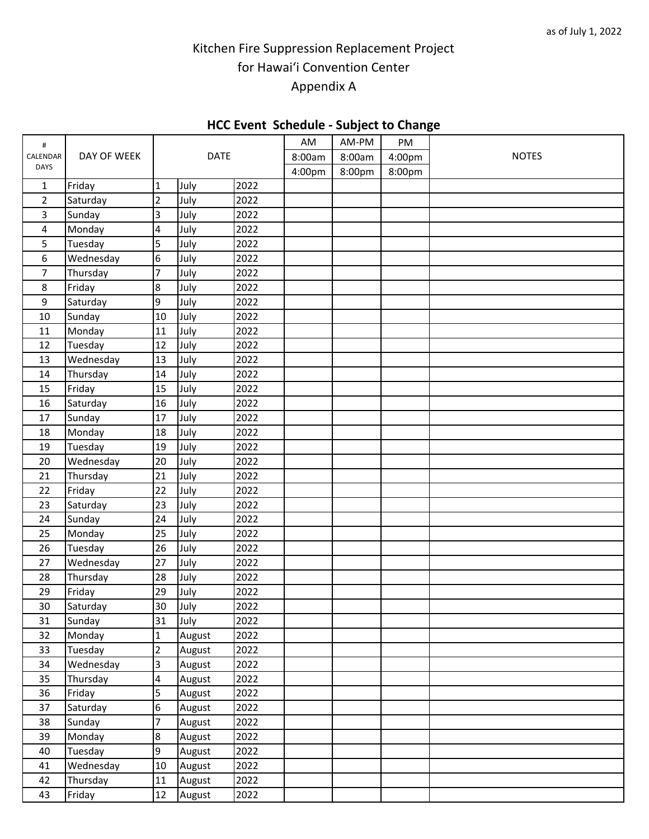## Kitchen Fire Suppression Replacement Project for Hawai'i Convention Center Appendix A

## **HCC Event Schedule - Subject to Change**

|                |             |                         |        |      |        | .      |        |              |
|----------------|-------------|-------------------------|--------|------|--------|--------|--------|--------------|
| #<br>CALENDAR  |             | <b>DATE</b>             |        |      | AM     | AM-PM  | PM     |              |
|                | DAY OF WEEK |                         |        |      | 8:00am | 8:00am | 4:00pm | <b>NOTES</b> |
| <b>DAYS</b>    |             |                         |        |      | 4:00pm | 8:00pm | 8:00pm |              |
| $\mathbf{1}$   | Friday      | $\mathbf{1}$            | July   | 2022 |        |        |        |              |
| $\overline{2}$ | Saturday    | $\overline{2}$          | July   | 2022 |        |        |        |              |
| 3              | Sunday      | $\overline{3}$          | July   | 2022 |        |        |        |              |
| 4              | Monday      | $\overline{4}$          | July   | 2022 |        |        |        |              |
| 5              | Tuesday     | 5                       | July   | 2022 |        |        |        |              |
| 6              | Wednesday   | 6                       | July   | 2022 |        |        |        |              |
| 7              | Thursday    | $\overline{7}$          | July   | 2022 |        |        |        |              |
| $\,8\,$        | Friday      | 8                       | July   | 2022 |        |        |        |              |
| 9              | Saturday    | $\overline{9}$          | July   | 2022 |        |        |        |              |
| 10             | Sunday      | 10                      | July   | 2022 |        |        |        |              |
| 11             | Monday      | 11                      | July   | 2022 |        |        |        |              |
| 12             | Tuesday     | 12                      | July   | 2022 |        |        |        |              |
| 13             | Wednesday   | 13                      | July   | 2022 |        |        |        |              |
| 14             | Thursday    | 14                      | July   | 2022 |        |        |        |              |
| 15             | Friday      | 15                      | July   | 2022 |        |        |        |              |
| 16             | Saturday    | 16                      | July   | 2022 |        |        |        |              |
| 17             | Sunday      | 17                      | July   | 2022 |        |        |        |              |
| 18             | Monday      | 18                      | July   | 2022 |        |        |        |              |
| 19             | Tuesday     | 19                      | July   | 2022 |        |        |        |              |
| 20             | Wednesday   | 20                      | July   | 2022 |        |        |        |              |
| 21             | Thursday    | 21                      | July   | 2022 |        |        |        |              |
| 22             | Friday      | 22                      | July   | 2022 |        |        |        |              |
| 23             | Saturday    | 23                      | July   | 2022 |        |        |        |              |
| 24             | Sunday      | 24                      | July   | 2022 |        |        |        |              |
| 25             | Monday      | 25                      | July   | 2022 |        |        |        |              |
| 26             | Tuesday     | 26                      | July   | 2022 |        |        |        |              |
| 27             | Wednesday   | 27                      | July   | 2022 |        |        |        |              |
| 28             | Thursday    | 28                      | July   | 2022 |        |        |        |              |
| 29             | Friday      | 29                      | July   | 2022 |        |        |        |              |
| 30             | Saturday    | 30 <sub>o</sub>         | July   | 2022 |        |        |        |              |
| 31             | Sunday      | 31                      | July   | 2022 |        |        |        |              |
| 32             | Monday      | $\mathbf{1}$            | August | 2022 |        |        |        |              |
| 33             | Tuesday     | $\overline{2}$          | August | 2022 |        |        |        |              |
| 34             | Wednesday   | $\overline{\mathbf{3}}$ | August | 2022 |        |        |        |              |
| 35             | Thursday    | $\overline{4}$          | August | 2022 |        |        |        |              |
| 36             | Friday      | 5                       | August | 2022 |        |        |        |              |
| 37             | Saturday    | 6                       | August | 2022 |        |        |        |              |
| 38             | Sunday      | $\overline{7}$          | August | 2022 |        |        |        |              |
| 39             | Monday      | $8\,$                   | August | 2022 |        |        |        |              |
| 40             | Tuesday     | $\overline{9}$          | August | 2022 |        |        |        |              |
| 41             | Wednesday   | 10                      | August | 2022 |        |        |        |              |
| 42             | Thursday    | 11                      | August | 2022 |        |        |        |              |
| 43             | Friday      | 12                      | August | 2022 |        |        |        |              |